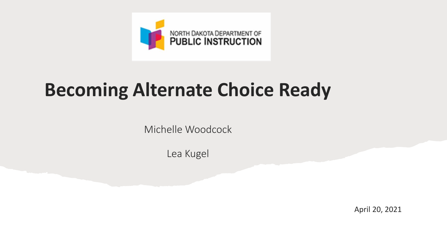

### **Becoming Alternate Choice Ready**

Michelle Woodcock

Lea Kugel

April 20, 2021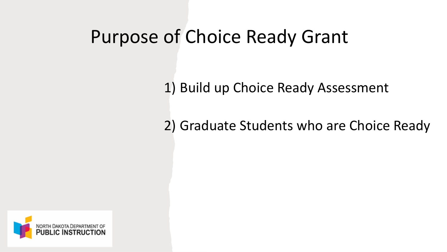### Purpose of Choice Ready Grant

1) Build up Choice Ready Assessment

2) Graduate Students who are Choice Ready

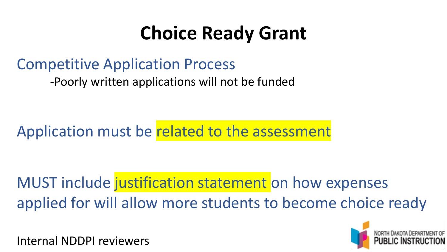# **Choice Ready Grant**

### Competitive Application Process

-Poorly written applications will not be funded

Application must be related to the assessment

MUST include justification statement on how expenses applied for will allow more students to become choice ready

Internal NDDPI reviewers

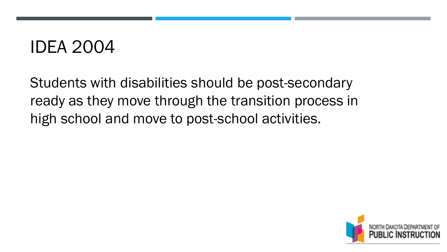### IDEA 2004

Students with disabilities should be post-secondary ready as they move through the transition process in high school and move to post-school activities.

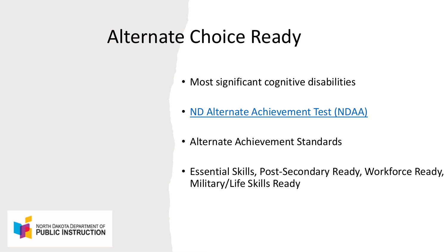### Alternate Choice Ready

- Most significant cognitive disabilities
- [ND Alternate Achievement Test \(NDAA\)](https://www.nd.gov/dpi/sites/www/files/documents/SpeEd/NDAAGuidelinesJuly.2018.pdf)
- Alternate Achievement Standards
- Essential Skills, Post-Secondary Ready, Workforce Ready, Military/Life Skills Ready

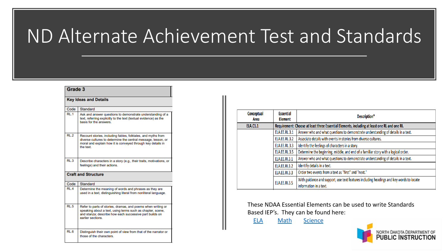### ND Alternate Achievement Test and Standards

#### Grade 3

| <b>Key Ideas and Details</b> |                                                                                                                                                                                                           |  |  |  |
|------------------------------|-----------------------------------------------------------------------------------------------------------------------------------------------------------------------------------------------------------|--|--|--|
| Code                         | Standard                                                                                                                                                                                                  |  |  |  |
| RL <sub>1</sub>              | Ask and answer questions to demonstrate understanding of a<br>text, referring explicitly to the text (textual evidence) as the<br>basis for the answers                                                   |  |  |  |
| RL.2                         | Recount stories, including fables, folktales, and myths from<br>diverse cultures to determine the central message, lesson, or<br>moral and explain how it is conveyed through key details in<br>the text  |  |  |  |
| RL3                          | Describe characters in a story (e.g., their traits, motivations, or<br>feelings) and their actions.                                                                                                       |  |  |  |
| <b>Craft and Structure</b>   |                                                                                                                                                                                                           |  |  |  |
| Code                         | Standard                                                                                                                                                                                                  |  |  |  |
| RL.4                         | Determine the meaning of words and phrases as they are<br>used in a text, distinguishing literal from nonliteral language.                                                                                |  |  |  |
| RL.5                         | Refer to parts of stories, dramas, and poems when writing or<br>speaking about a text, using terms such as chapter, scene,<br>and stanza; describe how each successive part builds on<br>earlier sections |  |  |  |
| RL <sub>6</sub>              | Distinguish their own point of view from that of the narrator or<br>those of the characters.                                                                                                              |  |  |  |

| Conceptual<br>Area   | <b>Essential</b><br><b>Element</b>                                                           | Description*                                                                                                      |  |
|----------------------|----------------------------------------------------------------------------------------------|-------------------------------------------------------------------------------------------------------------------|--|
| <b>ELA.C1.1</b>      | Requirement: Choose at least three Essential Elements, including at least one RL and one RI. |                                                                                                                   |  |
|                      | <b>ELA.EE.RL.3.1</b>                                                                         | Answer who and what questions to demonstrate understanding of details in a text.                                  |  |
|                      | <b>ELA.EE.RL.3.2</b>                                                                         | Associate details with events in stories from diverse cultures.                                                   |  |
|                      | <b>ELA.EE.RL.3.3</b>                                                                         | Identify the feelings of characters in a story.                                                                   |  |
|                      | <b>ELA.EE.RL.3.5</b>                                                                         | Determine the beginning, middle, and end of a familiar story with a logical order.                                |  |
| <b>ELA.EE.RI.3.1</b> |                                                                                              | Answer who and what questions to demonstrate understanding of details in a text.                                  |  |
|                      | <b>ELA.EE.RI.3.2</b>                                                                         | Identify details in a text.                                                                                       |  |
|                      | <b>ELA.EE.RI.3.3</b>                                                                         | Order two events from a text as "first" and "next."                                                               |  |
|                      | <b>ELA.EE.RI.3.5</b>                                                                         | With guidance and support, use text features including headings and key words to locate<br>information in a text. |  |

These NDAA Essential Elements can be used to write Standards Based IEP's. They can be found here:

[ELA](https://dynamiclearningmaps.org/sites/default/files/documents/Manuals_Blueprints/DLM_IE_ELA_Blueprint.pdf) [Math](https://dynamiclearningmaps.org/sites/default/files/documents/Manuals_Blueprints/DLM_IE_Math_Blueprint.pdf) [Science](https://dynamiclearningmaps.org/sites/default/files/documents/Manuals_Blueprints/DLM_YE_Sci_Blueprint.pdf)

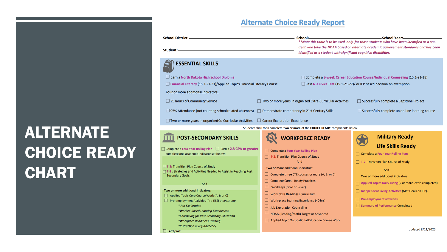### **ALTERNATE** CHOICE READY **CHART**

### **Alternate Choice Ready Report**

| <b>School District:-</b><br>Student:-                                                                                                                                                                                                                                                                                                                                                                                      |                                                                                                                                                                                                                                                                  | -School Year:<br>School:—<br>**Note this table is to be used only for those students who have been identified as a stu-<br>dent who take the NDAA based on alternate academic achievement standards and has been<br>identified as a student with significant cognitive disabilities. |  |
|----------------------------------------------------------------------------------------------------------------------------------------------------------------------------------------------------------------------------------------------------------------------------------------------------------------------------------------------------------------------------------------------------------------------------|------------------------------------------------------------------------------------------------------------------------------------------------------------------------------------------------------------------------------------------------------------------|--------------------------------------------------------------------------------------------------------------------------------------------------------------------------------------------------------------------------------------------------------------------------------------|--|
| <b>ESSENTIAL SKILLS</b><br>$\Box$ Earn a North Dakota High School Diploma<br>$\Box$ Financial Literacy (15.1-21-21)/Applied Topics Financial Literacy Course<br><b>Four or more additional indicators:</b><br>□ 25 hours of Community Service<br>□ 95% Attendance (not counting school related absences) □ Demonstrate competency in 21st Century Skills<br>$\Box$ Two or more years in organized Co-Curricular Activities | $\Box$ Two or more years in organized Extra-Curricular Activities<br>$\Box$ Career Exploration Experience                                                                                                                                                        | □ Complete a 9-week Career Education Course/Individual Counseling (15.1-21-18)<br>$\Box$ Pass ND Civics Test (15.1-21-27)/ or IEP based decision on exemption<br>$\Box$ Successfully complete a Capstone Project<br>$\Box$ Successfully complete an on-line learning course          |  |
|                                                                                                                                                                                                                                                                                                                                                                                                                            | Students shall then complete two or more of the CHOICE READY components below.                                                                                                                                                                                   |                                                                                                                                                                                                                                                                                      |  |
| <b>POST-SECONDARY SKILLS</b><br>$\Box$ Complete a Four Year Rolling Plan $\Box$ Earn a 2.8 GPA or greater<br>complete one academic indicator set below:<br>$\Box$ T-2: Transition Plan Course of Study<br>T-3 : Strategies and Activities Needed to Assist in Reaching Post<br>Secondary Goals.<br>And                                                                                                                     | <b>WORKFORCE READY</b><br><b>Complete a Four Year Rolling Plan</b><br>T-2: Transition Plan Course of Study<br>And<br>Two or more additional indicators:<br>$\Box$ Complete three CTE courses or more (A, B, or C)<br><b>Complete Career Ready Practices</b>      | <b>Military Ready</b><br><b>Life Skills Ready</b><br>Complete a Four Year Rolling Plan<br>$\Box$ T-2: Transition Plan Course of Study<br>And<br>Two or more additional indicators:<br>Applied Topics Daily Living (2 or more levels completed)                                       |  |
| Two or more additional indicators:<br>Applied Topic Core Course Work (A, B or C)<br>Pre-employment Activities (Pre-ETS) at least one<br>* Job Exploration<br>*Worked-Based Learning Experiences<br>*Counseling for Post-Secondary Education<br>*Workplace Readiness Training<br>*Instruction n Self-Advocacy                                                                                                               | <b>WorkKeys (Gold or Silver)</b><br><b>Work Skills Readiness Curriculum</b><br>Work-place Learning Experience (40 hrs)<br><b>Job Exploration Counseling</b><br>NDAA (Reading/Math) Target or Advanced<br><b>Applied Topic Occupational Education Course Work</b> | Independent Living Activities (Met Goals on IEP),<br>$\Box$ Pre-Employment activities<br>Summary of Performance Completed<br>updated 8/11/2020                                                                                                                                       |  |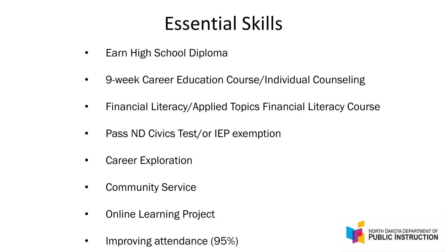# Essential Skills

- Earn High School Diploma
- 9-week Career Education Course/Individual Counseling
- Financial Literacy/Applied Topics Financial Literacy Course
- Pass ND Civics Test/or IEP exemption
- Career Exploration
- Community Service
- Online Learning Project
- Improving attendance (95%)

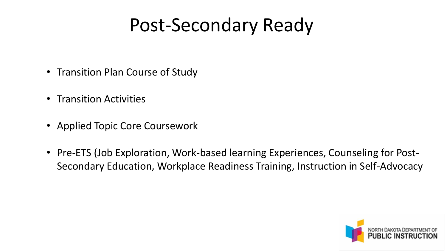### Post-Secondary Ready

- Transition Plan Course of Study
- Transition Activities
- Applied Topic Core Coursework
- Pre-ETS (Job Exploration, Work-based learning Experiences, Counseling for Post-Secondary Education, Workplace Readiness Training, Instruction in Self-Advocacy

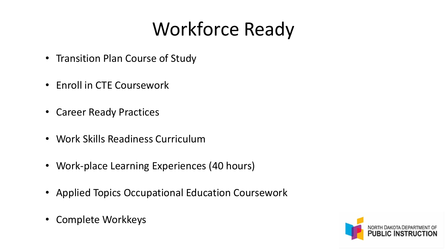# Workforce Ready

- Transition Plan Course of Study
- Enroll in CTE Coursework
- Career Ready Practices
- Work Skills Readiness Curriculum
- Work-place Learning Experiences (40 hours)
- Applied Topics Occupational Education Coursework
- Complete Workkeys

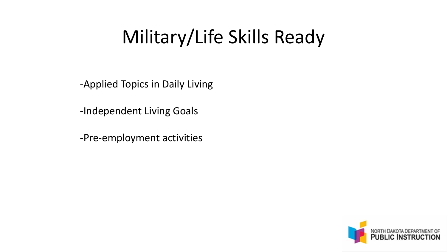# Military/Life Skills Ready

-Applied Topics in Daily Living

-Independent Living Goals

-Pre-employment activities